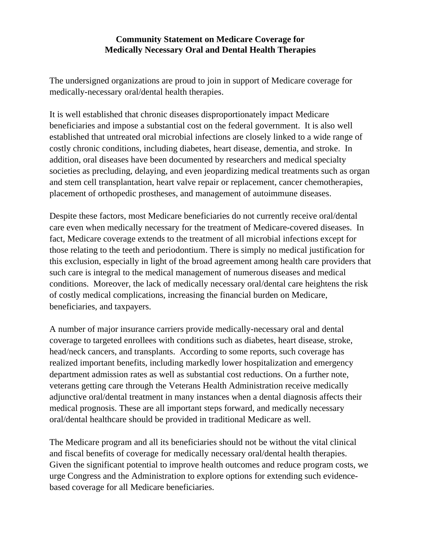## **Community Statement on Medicare Coverage for Medically Necessary Oral and Dental Health Therapies**

The undersigned organizations are proud to join in support of Medicare coverage for medically-necessary oral/dental health therapies.

It is well established that chronic diseases disproportionately impact Medicare beneficiaries and impose a substantial cost on the federal government. It is also well established that untreated oral microbial infections are closely linked to a wide range of costly chronic conditions, including diabetes, heart disease, dementia, and stroke. In addition, oral diseases have been documented by researchers and medical specialty societies as precluding, delaying, and even jeopardizing medical treatments such as organ and stem cell transplantation, heart valve repair or replacement, cancer chemotherapies, placement of orthopedic prostheses, and management of autoimmune diseases.

Despite these factors, most Medicare beneficiaries do not currently receive oral/dental care even when medically necessary for the treatment of Medicare-covered diseases. In fact, Medicare coverage extends to the treatment of all microbial infections except for those relating to the teeth and periodontium. There is simply no medical justification for this exclusion, especially in light of the broad agreement among health care providers that such care is integral to the medical management of numerous diseases and medical conditions. Moreover, the lack of medically necessary oral/dental care heightens the risk of costly medical complications, increasing the financial burden on Medicare, beneficiaries, and taxpayers.

A number of major insurance carriers provide medically-necessary oral and dental coverage to targeted enrollees with conditions such as diabetes, heart disease, stroke, head/neck cancers, and transplants. According to some reports, such coverage has realized important benefits, including markedly lower hospitalization and emergency department admission rates as well as substantial cost reductions. On a further note, veterans getting care through the Veterans Health Administration receive medically adjunctive oral/dental treatment in many instances when a dental diagnosis affects their medical prognosis. These are all important steps forward, and medically necessary oral/dental healthcare should be provided in traditional Medicare as well.

The Medicare program and all its beneficiaries should not be without the vital clinical and fiscal benefits of coverage for medically necessary oral/dental health therapies. Given the significant potential to improve health outcomes and reduce program costs, we urge Congress and the Administration to explore options for extending such evidencebased coverage for all Medicare beneficiaries.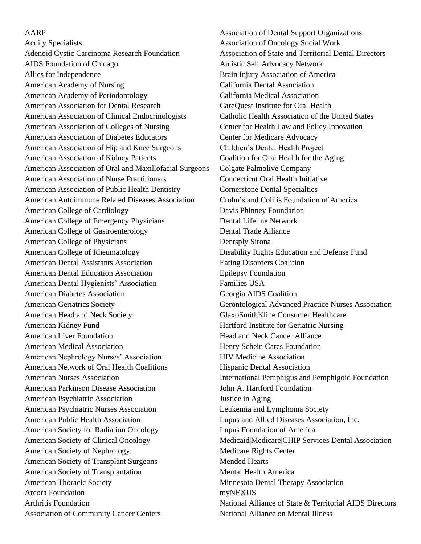## AARP

Acuity Specialists Adenoid Cystic Carcinoma Research Foundation AIDS Foundation of Chicago Allies for Independence American Academy of Nursing American Academy of Periodontology American Association for Dental Research American Association of Clinical Endocrinologists American Association of Colleges of Nursing American Association of Diabetes Educators American Association of Hip and Knee Surgeons American Association of Kidney Patients American Association of Oral and Maxillofacial Surgeons American Association of Nurse Practitioners American Association of Public Health Dentistry American Autoimmune Related Diseases Association American College of Cardiology American College of Emergency Physicians American College of Gastroenterology American College of Physicians American College of Rheumatology American Dental Assistants Association American Dental Education Association American Dental Hygienists' Association American Diabetes Association American Geriatrics Society American Head and Neck Society American Kidney Fund American Liver Foundation American Medical Association American Nephrology Nurses' Association American Network of Oral Health Coalitions American Nurses Association American Parkinson Disease Association American Psychiatric Association American Psychiatric Nurses Association American Public Health Association American Society for Radiation Oncology American Society of Clinical Oncology American Society of Nephrology American Society of Transplant Surgeons American Society of Transplantation American Thoracic Society Arcora Foundation Arthritis Foundation Association of Community Cancer Centers

Association of Dental Support Organizations Association of Oncology Social Work Association of State and Territorial Dental Directors Autistic Self Advocacy Network Brain Injury Association of America California Dental Association California Medical Association CareQuest Institute for Oral Health Catholic Health Association of the United States Center for Health Law and Policy Innovation Center for Medicare Advocacy Children's Dental Health Project Coalition for Oral Health for the Aging Colgate Palmolive Company Connecticut Oral Health Initiative Cornerstone Dental Specialties Crohn's and Colitis Foundation of America Davis Phinney Foundation Dental Lifeline Network Dental Trade Alliance Dentsply Sirona Disability Rights Education and Defense Fund Eating Disorders Coalition Epilepsy Foundation Families USA Georgia AIDS Coalition Gerontological Advanced Practice Nurses Association GlaxoSmithKline Consumer Healthcare Hartford Institute for Geriatric Nursing Head and Neck Cancer Alliance Henry Schein Cares Foundation HIV Medicine Association Hispanic Dental Association International Pemphigus and Pemphigoid Foundation John A. Hartford Foundation Justice in Aging Leukemia and Lymphoma Society Lupus and Allied Diseases Association, Inc. Lupus Foundation of America Medicaid|Medicare|CHIP Services Dental Association Medicare Rights Center Mended Hearts Mental Health America Minnesota Dental Therapy Association myNEXUS National Alliance of State & Territorial AIDS Directors National Alliance on Mental Illness